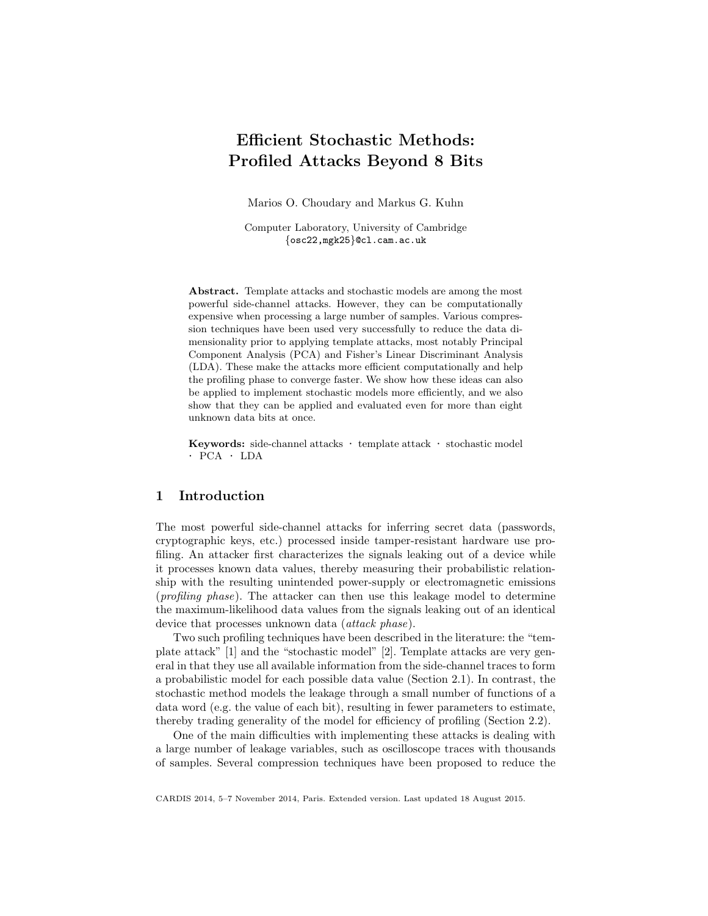# Efficient Stochastic Methods: Profiled Attacks Beyond 8 Bits

Marios O. Choudary and Markus G. Kuhn

Computer Laboratory, University of Cambridge {osc22,mgk25}@cl.cam.ac.uk

Abstract. Template attacks and stochastic models are among the most powerful side-channel attacks. However, they can be computationally expensive when processing a large number of samples. Various compression techniques have been used very successfully to reduce the data dimensionality prior to applying template attacks, most notably Principal Component Analysis (PCA) and Fisher's Linear Discriminant Analysis (LDA). These make the attacks more efficient computationally and help the profiling phase to converge faster. We show how these ideas can also be applied to implement stochastic models more efficiently, and we also show that they can be applied and evaluated even for more than eight unknown data bits at once.

**Keywords:** side-channel attacks  $\cdot$  template attack  $\cdot$  stochastic model · PCA · LDA

# 1 Introduction

The most powerful side-channel attacks for inferring secret data (passwords, cryptographic keys, etc.) processed inside tamper-resistant hardware use profiling. An attacker first characterizes the signals leaking out of a device while it processes known data values, thereby measuring their probabilistic relationship with the resulting [un](#page-17-0)intended power-supply or electromagnetic emissions (profiling phase). The attacker can then use this leakage model to determine the maximum-likelihood data values [from](#page-1-0) the signals leaking out of an identical device that processes unknown data *(attack phase)*.

Two such profiling techniques have been described in the literature: the "template attack" [1] and the "stochastic model" [2]. Te[mplat](#page-2-0)e attacks are very general in that they use all available information from the side-channel traces to form a probabilistic model for each possible data value (Section 2.1). In contrast, the stochastic method models the leakage through a small number of functions of a data word (e.g. the value of each bit), resulting in fewer parameters to estimate, thereby trading generality of the model for efficiency of profiling (Section 2.2).

One of the main difficulties with implementing these attacks is dealing with a large number of leakage variables, such as oscilloscope traces with thousands of samples. Several compression techniques have been proposed to reduce the

CARDIS 2014, 5–7 November 2014, Paris. Extended version. Last updated 18 August 2015.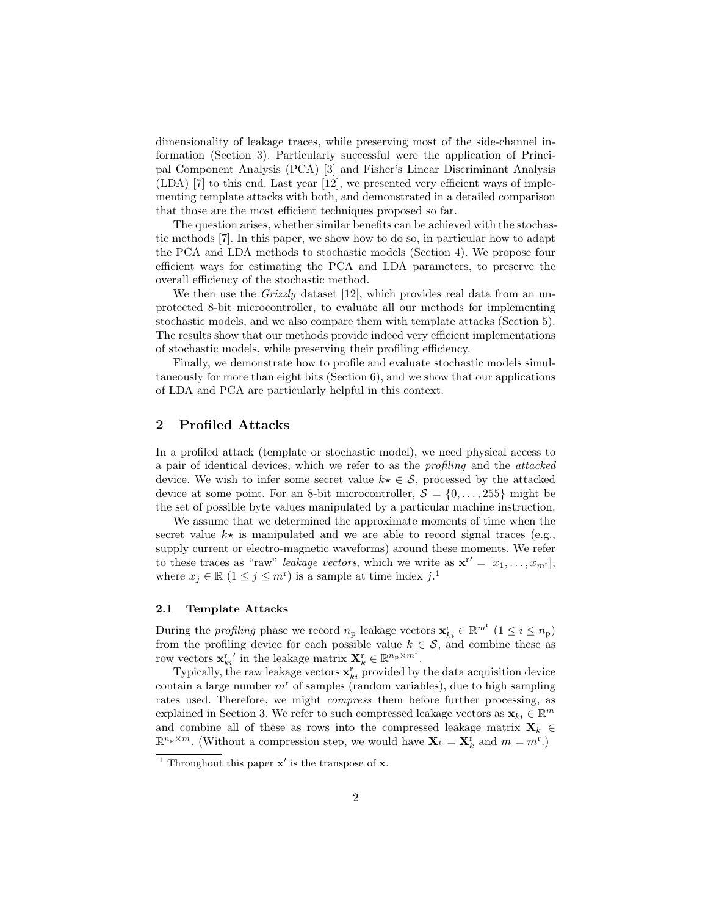dimensionality of leakage traces, while preserving most of the side-channel information (Section 3). Particularly successful were the application of Principal Component Analysis (PCA) [3] and Fisher's Linear Discriminant Analysis (LDA) [7] to this end. Last year [12], [we](#page-6-0) presented very efficient ways of implementing template attacks with both, and demonstrated in a detailed comparison that those are the most efficient techniques proposed so far.

The questio[n ari](#page-17-1)ses, whether similar benefits can be achieved with the stochastic methods [7]. In this paper, we show how to do so, in particular how to adapt the PCA and LDA methods to stochastic models (Sec[tio](#page-8-0)n 4). We propose four efficient ways for estimating the PCA and LDA parameters, to preserve the overall efficiency of the stochastic method.

We then use the *Grizzly* dataset [12], which provides real data from an unprotected 8-bit micr[oco](#page-10-0)ntroller, to evaluate all our methods for implementing stochastic models, and we also compare them with template attacks (Section 5). The results show that our methods provide indeed very efficient implementations of stochastic models, while preserving their profiling efficiency.

Finally, we demonstrate how to profile and evaluate stochastic models simultaneously for more than eight bits (Section 6), and we show that our applications of LDA and PCA are particularly helpful in this context.

# 2 Profiled Attacks

In a profiled attack (template or stochastic model), we need physical access to a pair of identical devices, which we refer to as the profiling and the attacked device. We wish to infer some secret value  $k \star \in \mathcal{S}$ , processed by the attacked device at some point. For an 8-bit microcontroller,  $S = \{0, \ldots, 255\}$  might be the set of possible byte values ma[nip](#page-1-1)ulated by a particular machine instruction.

<span id="page-1-0"></span>We assume that we determined the approximate moments of time when the secret value  $k\star$  is manipulated and we are able to record signal traces (e.g., supply current or electro-magnetic waveforms) around these moments. We refer to these traces as "raw" *leakage vectors*, which we write as  $\mathbf{x}^{r'} = [x_1, \ldots, x_{m^r}],$ where  $x_j \in \mathbb{R}$   $(1 \leq j \leq m^{\text{r}})$  is a sample at time index  $j$ .<sup>1</sup>

### 2.1 Template Attacks

During the *profiling* phase we record  $n_p$  leakage vectors  $\mathbf{x}_{ki}^{\mathrm{r}} \in \mathbb{R}^{m^{\mathrm{r}}}$   $(1 \leq i \leq n_p)$ [fr](#page-5-0)om the profiling device for each possible value  $k \in \mathcal{S}$ , and combine these as row vectors  $\mathbf{x}_{ki}^{r'}$  in the leakage matrix  $\mathbf{X}_k^r \in \mathbb{R}^{n_p \times m^r}$ .

<span id="page-1-1"></span>Typically, the raw leakage vectors  $\mathbf{x}_{ki}^{\mathrm{r}}$  provided by the data acquisition device contain a large number  $m<sup>r</sup>$  of samples (random variables), due to high sampling rates used. Therefore, we might compress them before further processing, as explained in Section 3. We refer to such compressed leakage vectors as  $\mathbf{x}_{ki} \in \mathbb{R}^m$ and combine all of these as rows into the compressed leakage matrix  $\mathbf{X}_k$  ∈  $\mathbb{R}^{n_{p} \times m}$ . (Without a compression step, we would have  $\mathbf{X}_{k} = \mathbf{X}_{k}^{r}$  and  $m = m^{r}$ .)

<sup>&</sup>lt;sup>1</sup> Throughout this paper  $\mathbf{x}'$  is the transpose of  $\mathbf{x}$ .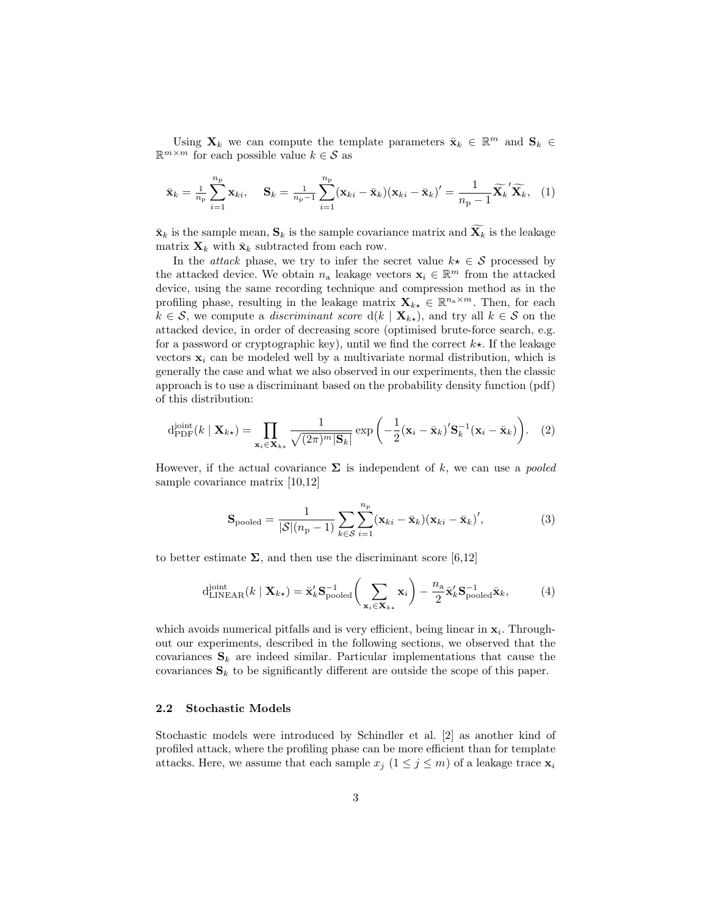<span id="page-2-1"></span>Using  $\mathbf{X}_k$  we can compute the template parameters  $\bar{\mathbf{x}}_k \in \mathbb{R}^m$  and  $\mathbf{S}_k \in$  $\mathbb{R}^{m \times m}$  for each possible value  $k \in \mathcal{S}$  as

$$
\bar{\mathbf{x}}_k = \frac{1}{n_\text{p}} \sum_{i=1}^{n_\text{p}} \mathbf{x}_{ki}, \quad \mathbf{S}_k = \frac{1}{n_\text{p}-1} \sum_{i=1}^{n_\text{p}} (\mathbf{x}_{ki} - \bar{\mathbf{x}}_k) (\mathbf{x}_{ki} - \bar{\mathbf{x}}_k)' = \frac{1}{n_\text{p}-1} \widetilde{\mathbf{X}_k}' \widetilde{\mathbf{X}_k}, \quad (1)
$$

 $\bar{\mathbf{x}}_k$  is the sample mean,  $\mathbf{S}_k$  is the sample covariance matrix and  $\widetilde{\mathbf{X}}_k$  is the leakage matrix  $\mathbf{X}_k$  with  $\bar{\mathbf{x}}_k$  subtracted from each row.

In the *attack* phase, we try to infer the secret value  $k \star \in \mathcal{S}$  processed by the attacked device. We obtain  $n_a$  leakage vectors  $\mathbf{x}_i \in \mathbb{R}^m$  from the attacked device, using the same recording technique and compression method as in the profiling phase, resulting in the leakage matrix  $\mathbf{X}_{k\star} \in \mathbb{R}^{n_{\text{a}} \times m}$ . Then, for each  $k \in \mathcal{S}$ , we compute a *discriminant score*  $d(k | X_{k*})$ , and try all  $k \in \mathcal{S}$  on the attacked device, in order of decreasing score (optimised brute-force search, e.g. for a password or cryptographic key), until we find the correct  $k\star$ . If the leakage vectors  $x_i$  can be modeled well by a multivariate normal distribution, which is generally the case and what we also observed in our experiments, then the classic approach is to use a discriminant based on the probability density function (pdf) of th[is d](#page-17-2)[istr](#page-17-1)ibution:

$$
d_{\rm PDF}^{\rm joint}(k \mid \mathbf{X}_{k\star}) = \prod_{\mathbf{x}_i \in \mathbf{X}_{k\star}} \frac{1}{\sqrt{(2\pi)^m |\mathbf{S}_k|}} \exp\left(-\frac{1}{2} (\mathbf{x}_i - \bar{\mathbf{x}}_k)' \mathbf{S}_k^{-1} (\mathbf{x}_i - \bar{\mathbf{x}}_k)\right).
$$
 (2)

<span id="page-2-3"></span><span id="page-2-2"></span>However, if the actual covariance  $\Sigma$  is independent of k, we can use a *pooled* sample covariance matrix [10,12]

$$
\mathbf{S}_{\text{pooled}} = \frac{1}{|\mathcal{S}|(n_{\text{p}}-1)} \sum_{k \in \mathcal{S}} \sum_{i=1}^{n_{\text{p}}} (\mathbf{x}_{ki} - \bar{\mathbf{x}}_{k}) (\mathbf{x}_{ki} - \bar{\mathbf{x}}_{k})', \tag{3}
$$

to better estimate  $\Sigma$ , and then use the discriminant score [6,12]

$$
d_{\text{LINEAR}}^{\text{joint}}(k \mid \mathbf{X}_{k\star}) = \bar{\mathbf{x}}_k' \mathbf{S}_{\text{pooled}}^{-1} \bigg(\sum_{\mathbf{x}_i \in \mathbf{X}_{k\star}} \mathbf{x}_i\bigg) - \frac{n_a}{2} \bar{\mathbf{x}}_k' \mathbf{S}_{\text{pooled}}^{-1} \bar{\mathbf{x}}_k,\tag{4}
$$

<span id="page-2-0"></span>which avoids numerical pitfalls and is very efficient, being linear in  $x_i$ . Throughout our experiments, described in the following sections, we observed that the covariances  $S_k$  are indeed similar. [Pa](#page-17-0)rticular implementations that cause the covariances  $S_k$  to be significantly different are outside the scope of this paper.

#### 2.2 Stochastic Models

Stochastic models were introduced by Schindler et al. [2] as another kind of profiled attack, where the profiling phase can be more efficient than for template attacks. Here, we assume that each sample  $x_j$   $(1 \leq j \leq m)$  of a leakage trace  $\mathbf{x}_i$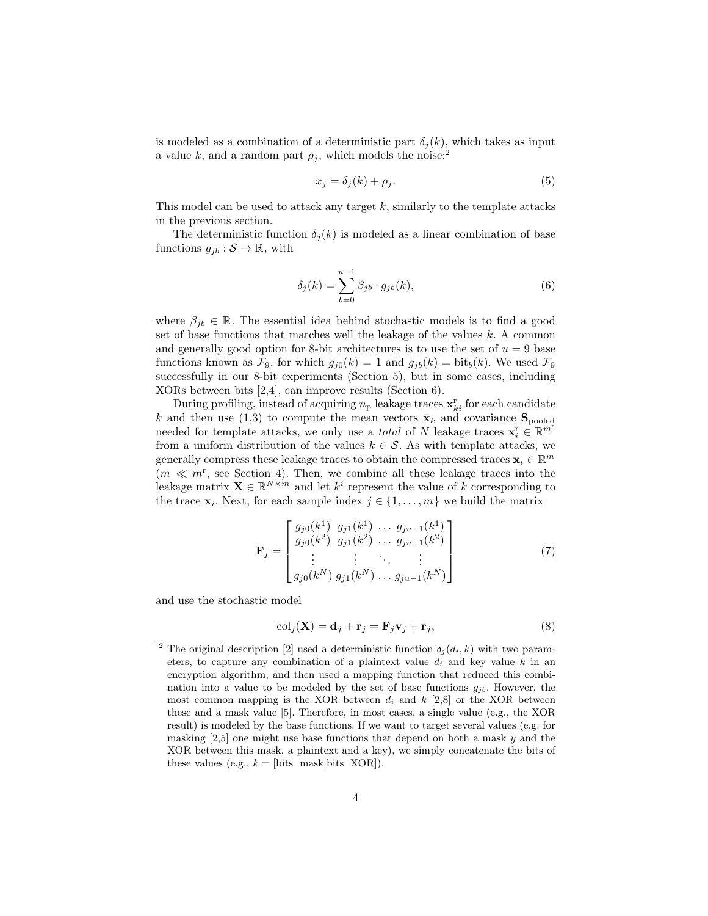<span id="page-3-2"></span>is modeled as a combination of a deterministic part  $\delta_i(k)$ , which takes as input a value k, and a random part  $\rho_j$ , which models the noise:<sup>2</sup>

$$
x_j = \delta_j(k) + \rho_j. \tag{5}
$$

<span id="page-3-1"></span>This model can be used to attack any target  $k$ , similarly to the template attacks in the previous section.

The deterministic function  $\delta_j(k)$  is modeled as a linear combination of base functions  $g_{ib}: \mathcal{S} \to \mathbb{R}$ , with

$$
\delta_j(k) = \sum_{b=0}^{u-1} \beta_{jb} \cdot g_{jb}(k),\tag{6}
$$

[w](#page-17-0)[h](#page-17-3)ere  $\beta_{ib} \in \mathbb{R}$ . The essential id[ea](#page-10-0) behind stochastic models is to find a good set of base functions that matches well the leakage of the values  $k$ . A common and generally good option for 8-bit architectures is to use the set of  $u = 9$  base functions known as  $\mathcal{F}_9$ , for which  $g_{j0}(k) = 1$  and  $g_{jb}(k) = \text{bit}_b(k)$ . We used  $\mathcal{F}_9$ successfully in our 8-bit experiments (Section 5), but in some cases, including X[OR](#page-6-0)s between bits [2,4], can improve results (Section 6).

<span id="page-3-3"></span>During profiling, instead of acquiring  $n<sub>p</sub>$  leakage traces  $\mathbf{x}_{ki}^{\mathrm{r}}$  for each candidate k and then use (1,3) to compute the mean vectors  $\bar{\mathbf{x}}_k$  and covariance  $\mathbf{S}_{pooled}$ needed for template attacks, we only use a *total* of N leakage traces  $\mathbf{x}_i^{\text{r}} \in \mathbb{R}^{m^{\overline{r}}}$ from a uniform distribution of the values  $k \in \mathcal{S}$ . As with template attacks, we generally compress these leakage traces to obtain the compressed traces  $\mathbf{x}_i \in \mathbb{R}^m$  $(m \ll m^r,$  see Section 4). Then, we combine all these leakage traces into the leakage matrix  $\mathbf{X} \in \mathbb{R}^{N \times m}$  and let  $k^i$  represent the value of k corresponding to the trace  $\mathbf{x}_i$ . Next, for each sample index  $j \in \{1, \ldots, m\}$  we build the matrix

$$
\mathbf{F}_{j} = \begin{bmatrix} g_{j0}(k^{1}) & g_{j1}(k^{1}) & \cdots & g_{ju-1}(k^{1}) \\ g_{j0}(k^{2}) & g_{j1}(k^{2}) & \cdots & g_{ju-1}(k^{2}) \\ \vdots & \vdots & \ddots & \vdots \\ g_{j0}(k^{N}) & g_{j1}(k^{N}) & \cdots & g_{ju-1}(k^{N}) \end{bmatrix}
$$
(7)

<span id="page-3-0"></span>and use the stochastic model

$$
col_j(\mathbf{X}) = \mathbf{d}_j + \mathbf{r}_j = \mathbf{F}_j \mathbf{v}_j + \mathbf{r}_j,\tag{8}
$$

<sup>&</sup>lt;sup>2</sup> The original description [2] used a deterministic function  $\delta_j(d_i, k)$  with two parameters, to capture any combination of a plaintext value  $d_i$  and key value k in an encryption algorithm, and then used a mapping function that reduced this combination into a value to be modeled by the set of base functions  $g_{jb}$ . However, the most common mapping is the XOR between  $d_i$  and  $k$  [2,8] or the XOR between these and a mask value [5]. Therefore, in most cases, a single value (e.g., the XOR result) is modeled by the base functions. If we want to target several values (e.g. for masking [2,5] one might use base functions that depend on both a mask y and the XOR between this mask, a plaintext and a key), we simply concatenate the bits of these values (e.g.,  $k =$  [bits mask|bits XOR]).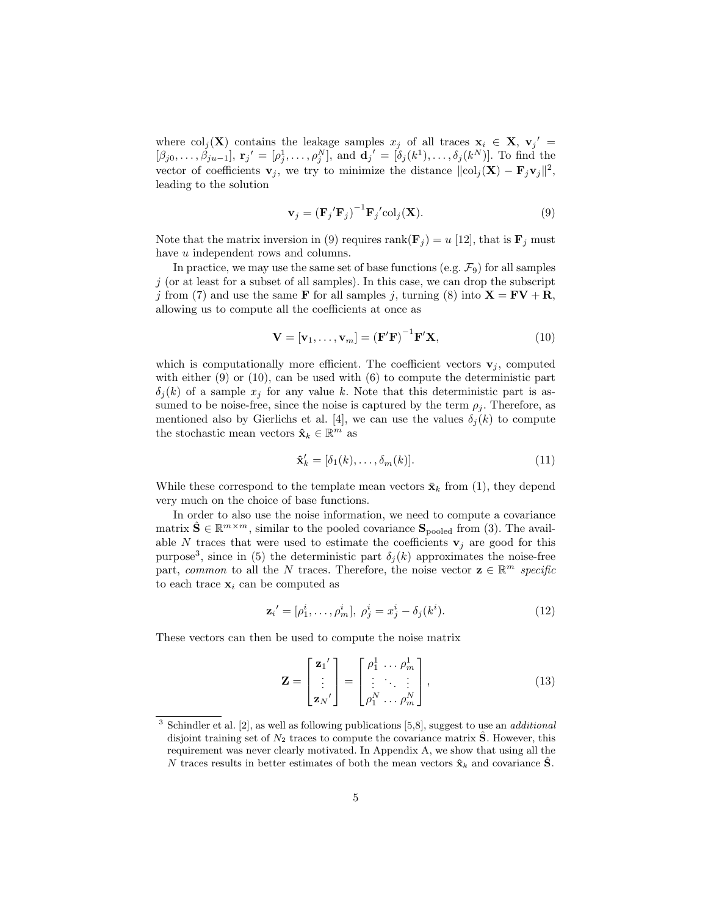<span id="page-4-0"></span>where col<sub>j</sub>(X) contains the leakage samples  $x_j$  of all traces  $\mathbf{x}_i \in \mathbf{X}, \mathbf{v}_j' =$  $[\beta_{j0}, \ldots, \beta_{ju-1}],$   $\mathbf{r}_{j'} = [\rho_{j}^{1}, \ldots, \rho_{j}^{N}],$  and  $\mathbf{d}_{j'} = [\delta_{j}(k^{1}), \ldots, \delta_{j}(k^{N})].$  To find the vector of co[effi](#page-4-0)cients  $\mathbf{v}_j$ , we try to m[inim](#page-17-1)ize the distance  $\|\text{col}_j(\mathbf{X}) - \mathbf{F}_j \mathbf{v}_j\|^2$ , leading to the solution

$$
\mathbf{v}_j = \left(\mathbf{F}_j'\mathbf{F}_j\right)^{-1}\mathbf{F}_j'\text{col}_j(\mathbf{X}).\tag{9}
$$

Note that the matrix inversion in (9) requires rank( $\mathbf{F}_i$ ) = u [12], that is  $\mathbf{F}_i$  must have u independent rows and columns.

<span id="page-4-1"></span>In practice, we may use the same set of base functions (e.g.  $\mathcal{F}_9$ ) for all samples  $j$  (or at least for a subset of all samples). In this case, we can drop the subscript j from (7) and use the same **F** for all samples j, turning (8) into  $X = FV + R$ , [a](#page-4-1)llowing us to comp[ute](#page-3-1) all the coefficients at once as

$$
\mathbf{V} = [\mathbf{v}_1, \dots, \mathbf{v}_m] = (\mathbf{F}'\mathbf{F})^{-1}\mathbf{F}'\mathbf{X},\tag{10}
$$

<span id="page-4-2"></span>which is computationally more efficient. The coefficient vectors  $\mathbf{v}_j$ , computed with either (9) or (10), can be used with (6) to compute the deterministic part  $\delta_j(k)$  of a sample  $x_j$  for any value k. Note that this deterministic part is assumed to be noise-free, since the noise is captured by the term  $\rho_j$ . Therefore, as mentioned also by Gierlichs et al. [4], we [ca](#page-2-1)n use the values  $\delta_j(k)$  to compute the stochastic mean vectors  $\mathbf{\hat{x}}_k \in \mathbb{R}^m$  as

$$
\hat{\mathbf{x}}'_k = [\delta_1(k), \dots, \delta_m(k)]. \tag{11}
$$

[W](#page-3-2)hile these correspond to the template mean vectors  $\bar{\mathbf{x}}_k$  from (1), they depend very much on the choice of base functions.

In order to also use the noise information, we need to compute a covariance matrix  $\hat{\mathbf{S}} \in \mathbb{R}^{m \times m}$ , similar to the pooled covariance  $\mathbf{S}_{pooled}$  from (3). The available N traces that were used to estimate the coefficients  $v_j$  are good for this purpose<sup>3</sup>, since in (5) the deterministic part  $\delta_j(k)$  approximates the noise-free part, common to all the N traces. Therefore, the noise vector  $\mathbf{z} \in \mathbb{R}^m$  specific to each trace  $\mathbf{x}_i$  can be computed as

$$
\mathbf{z}_{i}' = [p_1^i, \dots, p_m^i], \ p_j^i = x_j^i - \delta_j(k^i). \tag{12}
$$

These vectors can then be used to compute the noise matrix

$$
\mathbf{Z} = \begin{bmatrix} \mathbf{z}_1' \\ \vdots \\ \mathbf{z}_N' \end{bmatrix} = \begin{bmatrix} \rho_1^1 & \cdots & \rho_m^1 \\ \vdots & \ddots & \vdots \\ \rho_1^N & \cdots & \rho_m^N \end{bmatrix},
$$
(13)

 $3$  Schindler et al. [2], as well as following publications [5,8], suggest to use an *additional* disjoint training set of  $N_2$  traces to compute the covariance matrix **S**. However, this requirement was never clearly motivated. In Appendix A, we show that using all the N traces results in better estimates of both the mean vectors  $\hat{\mathbf{x}}_k$  and covariance  $\hat{\mathbf{S}}$ .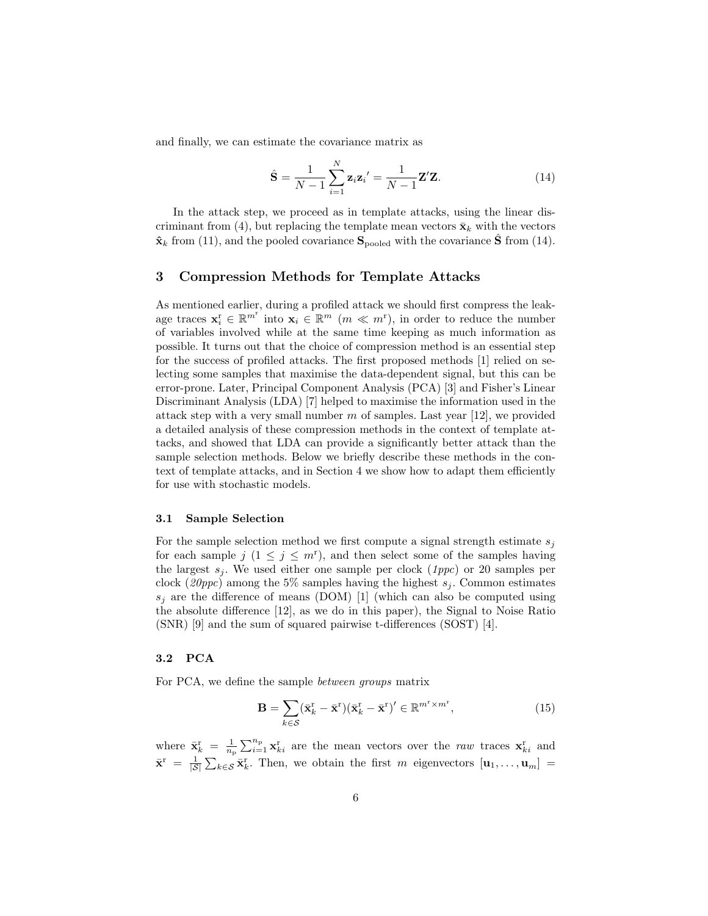<span id="page-5-1"></span>and finally, we can estimate the covariance matrix as

$$
\hat{\mathbf{S}} = \frac{1}{N-1} \sum_{i=1}^{N} \mathbf{z}_i \mathbf{z}_i' = \frac{1}{N-1} \mathbf{Z}' \mathbf{Z}.
$$
 (14)

<span id="page-5-0"></span>In the attack step, we proceed as in template attacks, using the linear discriminant from (4), but replacing the template mean vectors  $\bar{\mathbf{x}}_k$  with the vectors  $\hat{\mathbf{x}}_k$  from (11), and the pooled covariance  $\mathbf{S}_{pooled}$  with the covariance  $\hat{\mathbf{S}}$  from (14).

# 3 Compression Methods for T[em](#page-17-5)plate Attacks

As mentioned earlier, during a profiled attack we should first compress the leakage traces  $\mathbf{x}_i^{\text{r}} \in \mathbb{R}^{m^{\text{r}}}$  $\mathbf{x}_i^{\text{r}} \in \mathbb{R}^{m^{\text{r}}}$  $\mathbf{x}_i^{\text{r}} \in \mathbb{R}^{m^{\text{r}}}$  into  $\mathbf{x}_i \in \mathbb{R}^m$   $(m \ll m^{\text{r}})$ , in order to reduce the number of varia[ble](#page-17-7)s involved while at the same time keeping as much information as possible. It turns out that the choice of c[omp](#page-17-1)ression method is an essential step for the success of profiled attacks. The first proposed methods [1] relied on selecting some samples that maximise the data-dependent signal, but this can be error-prone. Later, Principal Component Analysis (PCA) [3] and Fisher's Linear Discriminant Anal[ys](#page-6-0)is (LDA) [7] helped to maximise the information used in the attack step with a very small number m of samples. Last year  $[12]$ , we provided a detailed analysis of these compression methods in the context of template attacks, and showed that LDA can provide a significantly better attack than the sample selection methods. Below we briefly describe these methods in the context of template attacks, and in Section 4 we show how to adapt them efficiently for use with stochastic models.

#### 3.1 Sample Sel[ec](#page-17-5)tion

Fo[r th](#page-17-1)e sample selection method we first compute a signal strength estimate  $s_i$ for each sample  $j$   $(1 \leq j \leq m^r)$ , and then [se](#page-17-3)lect some of the samples having the largest  $s_i$ . We used either one sample per clock (1ppc) or 20 samples per clock (20ppc) among the 5% samples having the highest  $s_i$ . Common estimates  $s_i$  are the difference of means (DOM) [1] (which can also be computed using the absolute difference [12], as we do in this paper), the Signal to Noise Ratio (SNR) [9] and the sum of squared pairwise t-differences (SOST) [4].

#### <span id="page-5-2"></span>3.2 PCA

For PCA, we define the sample between groups matrix

$$
\mathbf{B} = \sum_{k \in \mathcal{S}} (\bar{\mathbf{x}}_k^{\mathbf{r}} - \bar{\mathbf{x}}^{\mathbf{r}}) (\bar{\mathbf{x}}_k^{\mathbf{r}} - \bar{\mathbf{x}}^{\mathbf{r}})' \in \mathbb{R}^{m^{\mathbf{r}} \times m^{\mathbf{r}}},\tag{15}
$$

where  $\bar{\mathbf{x}}_k^{\text{r}} = \frac{1}{n_p} \sum_{i=1}^{n_p} \mathbf{x}_{ki}^{\text{r}}$  are the mean vectors over the raw traces  $\mathbf{x}_{ki}^{\text{r}}$  and  $\bar{\mathbf{x}}^{\text{r}} = \frac{1}{|\mathcal{S}|} \sum_{k \in \mathcal{S}} \bar{\mathbf{x}}_k^{\text{r}}$ . Then, we obtain the first m eigenvectors  $[\mathbf{u}_1, \ldots, \mathbf{u}_m]$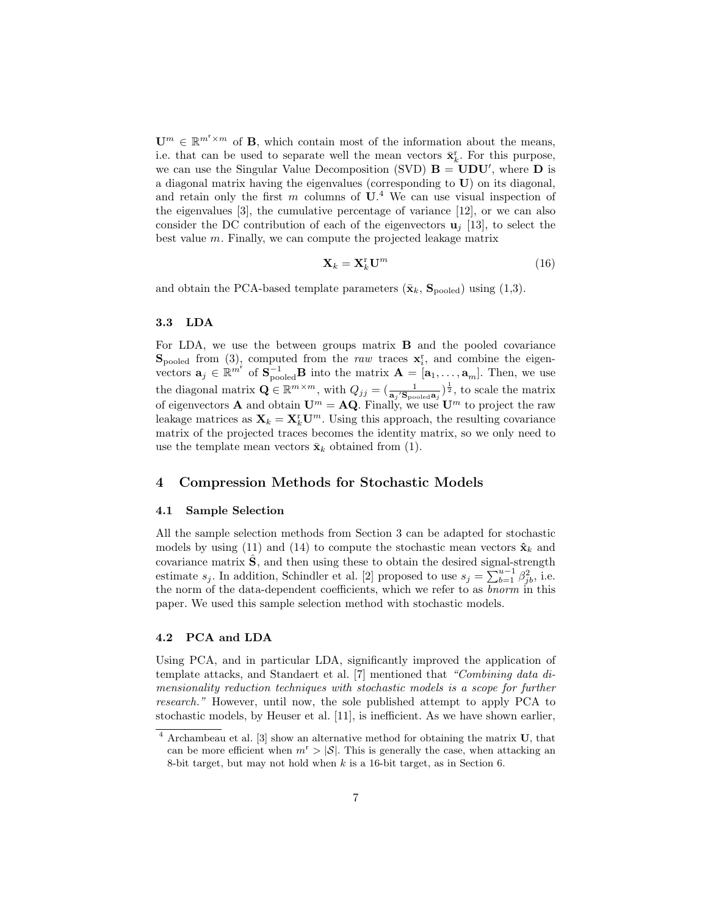$\mathbf{U}^m \in \mathbb{R}^{m^r \times m}$  of **B**, which contain m[ost](#page-17-1) of the information about the means, i.e. that can be used to separate well t[he m](#page-17-8)ean vectors  $\bar{\mathbf{x}}_k^{\mathrm{r}}$ . For this purpose, we can use the Singular Value Decomposition (SVD)  $B = UDU'$ , where D is a diagonal matrix having the eigenvalues (corresponding to U) on its diagonal, and retain only the first m columns of  $U^4$ . We can use visual inspection of the eigenvalues [3], the cumulative percentage [of](#page-2-1) [v](#page-2-2)ariance [12], or we can also consider the DC contribution of each of the eigenvectors  $\mathbf{u}_i$  [13], to select the best value m. Finally, we can compute the projected leakage matrix

$$
\mathbf{X}_k = \mathbf{X}_k^{\mathrm{r}} \mathbf{U}^m \tag{16}
$$

<span id="page-6-1"></span>and obtain the PCA-based template parameters  $(\bar{\mathbf{x}}_k, \mathbf{S}_{\text{pooled}})$  using (1,3).

### 3.3 LDA

<span id="page-6-0"></span>For LDA, we use the between groups matrix B and the pooled covariance  $S_{pooled}$  from (3), computed from the raw traces  $x_i^r$ , and combine the eigen- $S_{\text{pooled}}$  from (3), computed from the raw traces  $\mathbf{x}_i$ , and compute the eigenvectors  $\mathbf{a}_j \in \mathbb{R}^{m^r}$  of  $\mathbf{S}_{\text{pooled}}^{-1} \mathbf{B}$  $\mathbf{S}_{\text{pooled}}^{-1} \mathbf{B}$  $\mathbf{S}_{\text{pooled}}^{-1} \mathbf{B}$  into the matrix  $\mathbf{A} = [\mathbf{a}_1, \dots, \mathbf{a}_m]$ . Then, we use the diagonal matrix  $\mathbf{Q} \in \mathbb{R}^{m \times m}$ , with  $Q_{jj} = (\frac{1}{\mathbf{a}_j \cdot \mathbf{S}_{pooled}\mathbf{a}_j})^{\frac{1}{2}}$ , to scale the matrix of eigenvectors **A** and obtain  $\mathbf{U}^m = \mathbf{A}\mathbf{Q}$ . Finally, we use  $\mathbf{U}^m$  to project the raw leakage matrices as  $\mathbf{X}_k = \mathbf{X}_k^{\text{r}} \mathbf{U}^m$ . Using this approach, the resulting covariance matrix of the projected traces becomes the identity matrix, so we only need to use the template mean vectors  $\bar{\mathbf{x}}_k$  obtained from (1).

# 4 [Com](#page-5-1)pression Methods for Stochastic Models

#### 4.1 Sample Sele[ct](#page-17-0)ion

All the sample selection methods from Section 3 can be adapted for stochastic models by using (11) and (14) to compute the stochastic mean vectors  $\hat{\mathbf{x}}_k$  and covariance matrix  $\hat{S}$ , and then using these to obtain the desired signal-strength estimate  $s_j$ . In addition, Schindler et al. [2] proposed to use  $s_j = \sum_{b=1}^{n-1} \beta_{jb}^2$ , i.e. the norm of the data-dependent coefficients, which we refer to as *bnorm* in this paper. We used th[is](#page-17-7) sample selection method with stochastic models.

#### 4.2 PCA a[nd](#page-17-9) LDA

[U](#page-17-6)sing PCA, and in particular LDA, significantly improved the application of template attacks, and Standaert et al. [7] mentioned that "Combining data dimensionality reduction techniques with stocha[sti](#page-10-0)c models is a scope for further research." However, until now, the sole published attempt to apply PCA to stochastic models, by Heuser et al. [11], is inefficient. As we have shown earlier,

<sup>4</sup> Archambeau et al. [3] show an alternative method for obtaining the matrix U, that can be more efficient when  $m^r > |\mathcal{S}|$ . This is generally the case, when attacking an 8-bit target, but may not hold when  $k$  is a 16-bit target, as in Section 6.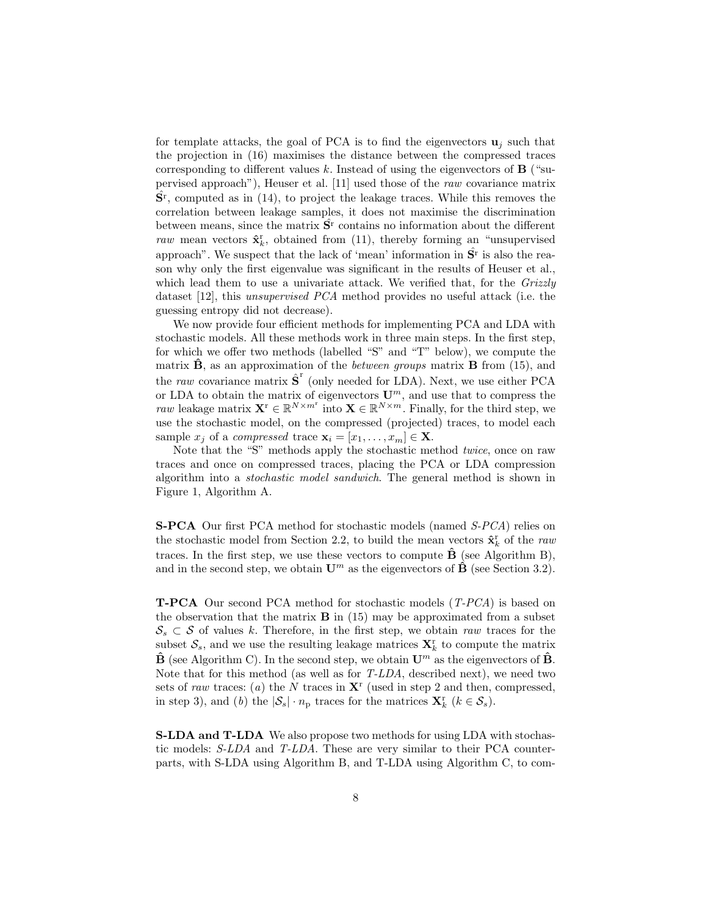for template attacks, the goal of PCA is to find the eigenvectors  $\mathbf{u}_i$  such that the projection in (16) maximises the distance between the compressed traces corresponding to [diffe](#page-4-2)rent values k. Instead of using the eigenvectors of  $\bf{B}$  ("supervised approach"), Heuser et al. [11] used those of the raw covariance matrix  $\hat{\mathbf{S}}^{\mathsf{r}}$ , computed as in (14), to project the leakage traces. While this removes the correlation between leakage samples, it does not maximise the discrimination between means, since the matrix  $S<sup>r</sup>$  contains no information about the different raw mean vectors  $\hat{\mathbf{x}}_k^{\text{r}}$ , obtained from (11), thereby forming an "unsupervised approach". We suspect that the lack of 'mean' information in  $\hat{S}^r$  is also the reason why only the first eigenvalue was significant in the results of Heuser et al., which lead them to use a univariate attack. We verified that, for the Grizzly dataset [12], this unsupervised PCA method pro[vide](#page-5-2)s no useful attack (i.e. the guessing entropy did not decrease).

We now provide four efficient methods for implementing PCA and LDA with stochastic models. All these methods work in three main steps. In the first step, for which we offer two methods (labelled "S" and "T" below), we compute the matrix  $\hat{\mathbf{B}}$ , as an approximation of the *between groups* matrix **B** from (15), and the raw covariance matrix  $\hat{S}^r$  (only needed for LDA). Next, we use either PCA or LDA to obtain the matrix of eigenvectors  $\mathbf{U}^m$ , and use that to compress the raw leakage matrix  $\mathbf{X}^{\text{r}} \in \mathbb{R}^{N \times m^{\text{r}}}$  into  $\mathbf{X} \in \mathbb{R}^{N \times m}$ . Finally, for the third step, we use the stochastic model, on the compressed (projected) traces, to model each sample  $x_j$  of a *compressed* trace  $\mathbf{x}_i = [x_1, \dots, x_m] \in \mathbf{X}$ .

Note that the "S" methods apply the stochastic method twice, once on raw traces and o[nce o](#page-2-0)n compressed traces, placing the PCA or LDA compression algorithm into a stochastic model sandwich. The general method is shown in Figure 1, Algorithm A.

S-PCA Our first PCA method for stochastic models (named S-PCA) relies on the stochastic mo[del](#page-5-2) from Section 2.2, to build the mean vectors  $\hat{\mathbf{x}}_k^{\mathrm{r}}$  of the raw traces. In the first step, we use these vectors to compute  $\hat{\mathbf{B}}$  (see Algorithm B), and in the second step, we obtain  $\mathbf{U}^m$  as the eigenvectors of  $\mathbf{\hat{B}}$  (see Section 3.2).

<span id="page-7-0"></span>T-PCA Our second PCA method for stochastic models (T-PCA) is based on the observation that the matrix  $\bf{B}$  in (15) may be approximated from a subset  $\mathcal{S}_s \subset \mathcal{S}$  of values k. Therefore, in the first step, we obtain raw traces for the subset  $S_s$ , and we use the resulting leakage matrices  $\mathbf{X}_k^{\text{r}}$  to compute the matrix  $\hat{\mathbf{B}}$  (see Algorithm C). In the second step, we obtain  $\mathbf{U}^m$  as the eigenvectors of  $\hat{\mathbf{B}}$ . Note that for this method (as well as for T-LDA, described next), we need two sets of raw traces: (a) the N traces in  $X<sup>r</sup>$  (used in step 2 and then, compressed, in step 3), and (b) the  $|S_s| \cdot n_p$  traces for the matrices  $\mathbf{X}_k^{\text{r}}$  ( $k \in S_s$ ).

S-LDA and T-LDA We also propose two methods for using LDA with stochastic models: S-LDA and T-LDA. These are very similar to their PCA counterparts, with S-LDA using Algorithm B, and T-LDA using Algorithm C, to com-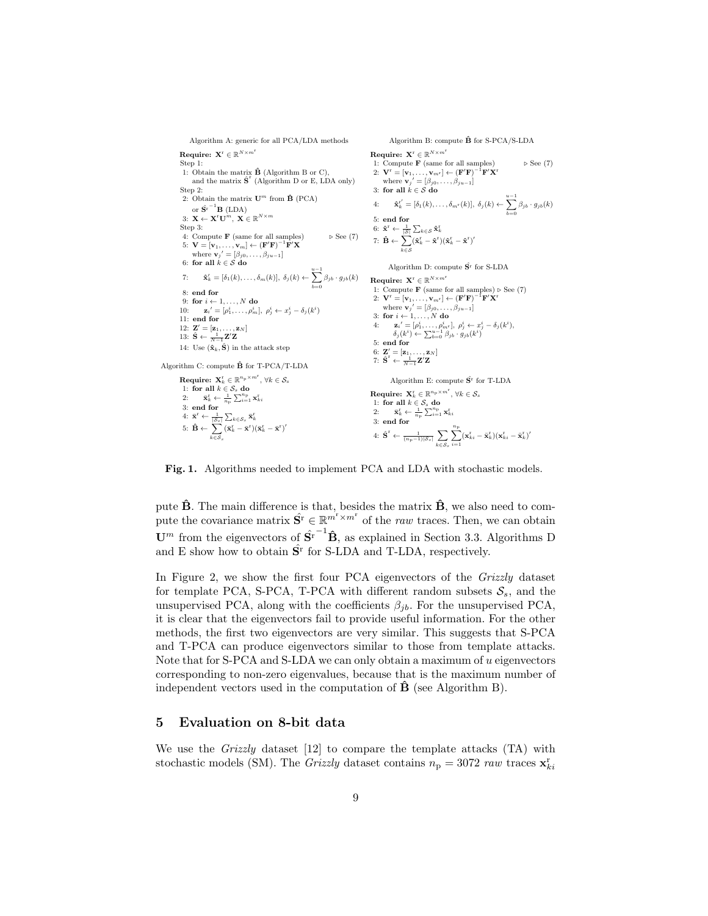```
Require: \mathbf{X}^{\text{r}} \in \mathbb{R}^{N \times m^{\text{r}}}Step 1:
                   1: Obtain the matrix \hat{\mathbf{B}} (Algorithm B or C),<br>and the matrix \hat{\mathbf{S}}^r (Algorithm D or E, LDA only)
               Step 2:
                 2: Obtain the matrix \mathbf{U}^m from \hat{\mathbf{B}} (PCA)
                         or \hat{\mathbf{S}^\text{r}}^{-1}\mathbf{B} (LDA)
                   3: \mathbf{X} \leftarrow \mathbf{X}^{\mathrm{r}} \mathbf{U}^m, \mathbf{X} \in \mathbb{R}^{N \times m}Step 3:
                 4: Compute F (same for all samples) \triangleright See (7)
                   5: \mathbf{V} = [\mathbf{v}_1, \dots, \mathbf{v}_m] \leftarrow (\mathbf{F}'\mathbf{F})^{-1}\mathbf{F}'\mathbf{X}<br>where \mathbf{v}_j' = [\beta_{j0}, \dots, \beta_{ju-1}]6: for all k \in S do
                   7: \mathbf{\hat{x}}'_k = [\delta_1(k), \ldots, \delta_m(k)], \delta_j(k) \leftarrow \sum_{k=1}^{n-1}\sum_{b=0} \beta_{jb} \cdot g_{jb}(k) Require: \mathbf{X}^{\mathrm{r}} \in \mathbb{R}^{N \times m^{\mathrm{r}}}8: end for
                9: for i \leftarrow 1, ..., N do<br>10: \mathbf{z}_i' = [\rho_1^i, ..., \rho_m^i], \ \rho_j^i \leftarrow x_j^i - \delta_j(k^i)11: end for
                12: \mathbf{Z}' = [\mathbf{z}_1, \dots, \mathbf{z}_N]<br>13: \hat{\mathbf{S}} \leftarrow \frac{1}{N-1} \mathbf{Z}' \mathbf{Z}14: Use (\hat{\mathbf{x}}_k, \hat{\mathbf{S}}) in the attack step
                                                                                                                                                                                Require: \mathbf{X}^{\text{r}} \in \mathbb{R}^{N \times m^{\text{r}}}1: Compute F (same for all samples) \triangleright See (7)
                                                                                                                                                                                  2: \mathbf{V}^{\mathrm{r}} = [\mathbf{v}_1, \ldots, \mathbf{v}_{m^{\mathrm{r}}}] \leftarrow (\mathbf{F}'\mathbf{F})^{-1} \mathbf{F}' \mathbf{X}^{\mathrm{r}}<br>where \mathbf{v}_j' = [\beta_{j0}, \ldots, \beta_{ju-1}]3: for all k \in S do
                                                                                                                                                                                  4: \mathbf{\hat{x}}_k^{r'} = [\delta_1(k), \ldots, \delta_{m^r}(k)], \ \delta_j(k) \leftarrow \sum_{j}^{u-1} \beta_{jb} \cdot g_{jb}(k)_{b=0}5: end for
                                                                                                                                                                                  6: \hat{\mathbf{x}}^{\text{r}} \leftarrow \frac{1}{|\mathcal{S}|} \sum_{k \in \mathcal{S}} \hat{\mathbf{x}}^{\text{r}}_k7: \hat{\mathbf{B}} \leftarrow \sum (\hat{\mathbf{x}}_k^{\mathrm{r}} - \hat{\mathbf{x}}^{\mathrm{r}})(\hat{\mathbf{x}}_k^{\mathrm{r}} - \hat{\mathbf{x}}^{\mathrm{r}})'k∈S
                \textbf{Required: }\mathbf{X}_k^{\text{r}}\in \mathbb{R}^{n_{\text{p}}\times m^{\text{r}}},\, \forall k\in \mathcal{S}_s1: for all k \in \mathcal{S}_s do
                   2: \bar{\mathbf{x}}_k^{\text{r}} \leftarrow \frac{1}{n_{\text{p}}} \sum_{i=1}^{n_{\text{p}}} \mathbf{x}_{ki}^{\text{r}}3: end for
                   4: \bar{\mathbf{x}}^{\text{r}} \leftarrow \frac{1}{|\mathcal{S}_s|} \sum_{k \in \mathcal{S}_s} \bar{\mathbf{x}}^{\text{r}}_k<br>5: \hat{\mathbf{B}} \leftarrow \sum_{k \in \mathcal{S}_s} (\bar{\mathbf{x}}^{\text{r}}_k - \bar{\mathbf{x}}^{\text{r}})(\bar{\mathbf{x}}^{\text{r}}_k - \bar{\mathbf{x}}^{\text{r}})'1: Compute F (same for all samples) \triangleright See (7)
                                                                                                                                                                                  2: \mathbf{V}^{\mathrm{r}} = [\mathbf{v}_1, \dots, \mathbf{v}_{m^{\mathrm{r}}}] \leftarrow (\mathbf{F}'\mathbf{F})^{-1} \mathbf{F}' \mathbf{X}^{\mathrm{r}}<br>where \mathbf{v}_j' = [\beta_{j0}, \dots, \beta_{ju-1}]3: for i \leftarrow 1, \ldots, N do
                                                                                                                                                                                  4: \mathbf{z}_{i}' = [\rho_{1}^{i}, \ldots, \rho_{m}^{i}], \ \rho_{j}^{i} \leftarrow x_{j}^{i} - \delta_{j}(k^{i}),<br>
\delta_{j}(k^{i}) \leftarrow \sum_{b=0}^{u-1} \beta_{jb} \cdot g_{jb}(k^{i})5: end for
                                                                                                                                                                                  6: \mathbf{Z}' = [\mathbf{z}_1, \dots, \mathbf{z}_N]7: \hat{\mathbf{S}}^{\text{r}} \leftarrow \frac{1}{N-1} \mathbf{Z}' \mathbf{Z}\textbf{Required: }\mathbf{X}_k^{\text{r}} \in \mathbb{R}^{n_{\text{p}} \times m^{\text{r}}}, \, \forall k \in \mathcal{S}_s1: for all k \in S_s do
                                                                                                                                                                                  2: \bar{\mathbf{x}}_k^{\text{r}} \leftarrow \frac{1}{n_{\text{p}}} \sum_{i=1}^{n_{\text{p}}} \mathbf{x}_{ki}^{\text{r}}3: end for
                                                                                                                                                                                  4: \hat{\mathbf{S}}^{\text{r}} \leftarrow \frac{1}{(n_{p}-1)|S_{s}|} \sumk \in S_s\sum_{n=1}^{n}\sum_{i=1}(\mathbf{x}^\mathrm{r}_{ki}-\bar{\mathbf{x}}^\mathrm{r}_{k})(\mathbf{x}^\mathrm{r}_{ki}-\bar{\mathbf{x}}^\mathrm{r}_{k})'Algorithm A: generic for all PCA/LDA methods Algorithm B: compute \hat{\mathbf{B}} for S-PCA/S-LDA
Algorithm C: compute \hat{\mathbf{B}} for T-PCA/T-LDA
                                                                                                                                                                                               Algorithm D: compute \hat{\mathbf{S}^{\text{r}}} for S-LDA
                                                                                                                                                                                                Algorithm E: compute \hat{\mathbf{S}^{\text{r}}} for T-LDA
```
Fig. 1. Algorithms needed to implement [PC](#page-6-1)A and LDA with stochastic models.

pute  $\hat{B}$ . The main difference is that, besides the matrix  $\hat{B}$ , we also need to compute the covariance matrix  $\hat{S}^r \in \mathbb{R}^{m^r \times m^r}$  of the *raw* traces. Then, we can obtain  $\mathbf{U}^m$  from the eigenvectors of  $\hat{\mathbf{S}'}^{-1}\hat{\mathbf{B}}$ , as explained in Section 3.3. Algorithms D and E show how to obtain  $\hat{S}^r$  for S-LDA and T-LDA, respectively.

<span id="page-8-0"></span>In Figure 2, we show the first four PCA eigenvectors of the Grizzly dataset for template PCA, S-PCA, T-PCA with different random subsets  $S_s$ , and the unsupervised PCA, along with the coefficients  $\beta_{jb}$ . For the unsupervised PCA, it is clear that the eigenvectors fail to provide useful information. For the other methods, the first two eigenvectors are very similar. This suggests that S-PCA and T-PCA can produce eigenvectors similar to those from template attacks. Note that for S-PCA and S-LDA we can only obtain a maximum of u eigenvectors correspo[ndin](#page-17-1)g to non-zero eigenvalues, because that is the maximum number of independent vectors used in the computation of  $\hat{B}$  (see Algorithm B).

# 5 Evaluation on 8-bit data

We use the *Grizzly* dataset [12] to compare the template attacks (TA) with stochastic models (SM). The *Grizzly* dataset contains  $n_p = 3072$  raw traces  $\mathbf{x}_{ki}^{\text{r}}$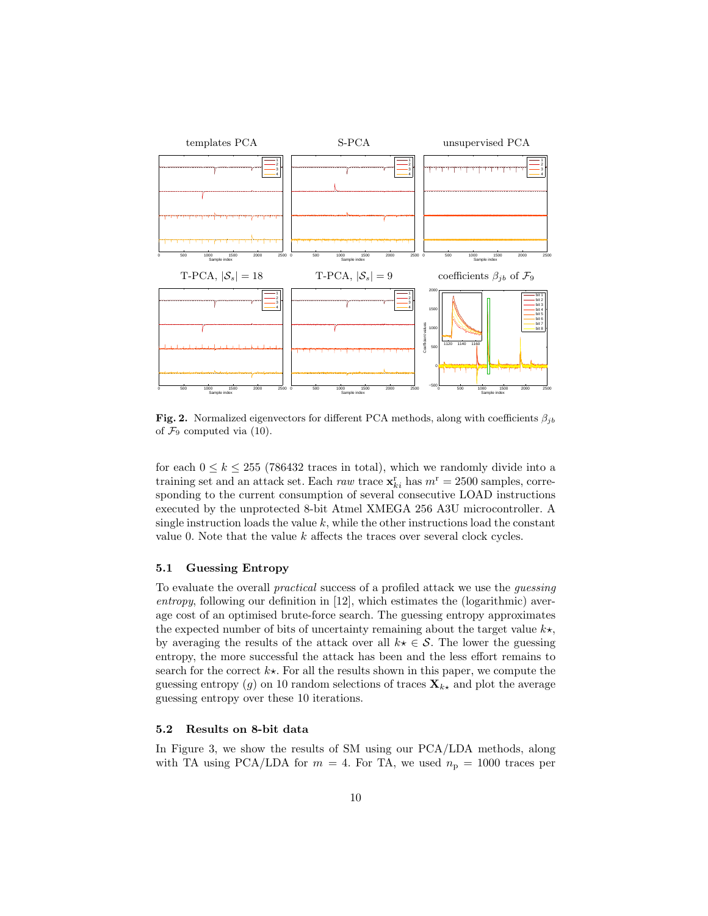

Fig. 2. Normalized eigenvectors for different PCA methods, along with coefficients  $\beta_{ib}$ of  $\mathcal{F}_9$  computed via (10).

for each  $0 \leq k \leq 255$  (786432 traces in total), which we randomly divide into a training set and an attack set. Each raw trace  $\mathbf{x}_{ki}^{\mathrm{r}}$  has  $m^{\mathrm{r}} = 2500$  samples, corresponding to the current consumption of several consecutive LOAD instructions executed by the unprotected 8-bit Atmel XMEGA 256 A3U microcontroller. A single instruct[ion](#page-17-1) loads the value  $k$ , while the other instructions load the constant value 0. Note that the value  $k$  affects the traces over several clock cycles.

# 5.1 Guessing Entropy

To evaluate the overall practical success of a profiled attack we use the guessing entropy, following our definition in [12], which estimates the (logarithmic) average cost of an optimised brute-force search. The guessing entropy approximates the expected number of bits of uncertainty remaining about the target value  $k\star$ , by averaging the results of the attack over all  $k \star \in \mathcal{S}$ . The lower the guessing entropy, the more successful the attack has been and the less effort remains to search for the correct  $k\star$ . For all the results shown in this paper, we compute the guessing entropy (g) on 10 random selections of traces  $\mathbf{X}_{k\star}$  and plot the average guessing entropy over these 10 iterations.

#### 5.2 Results on 8-bit data

In Figure 3, we show the results of SM using our PCA/LDA methods, along with TA using PCA/LDA for  $m = 4$ . For TA, we used  $n_p = 1000$  traces per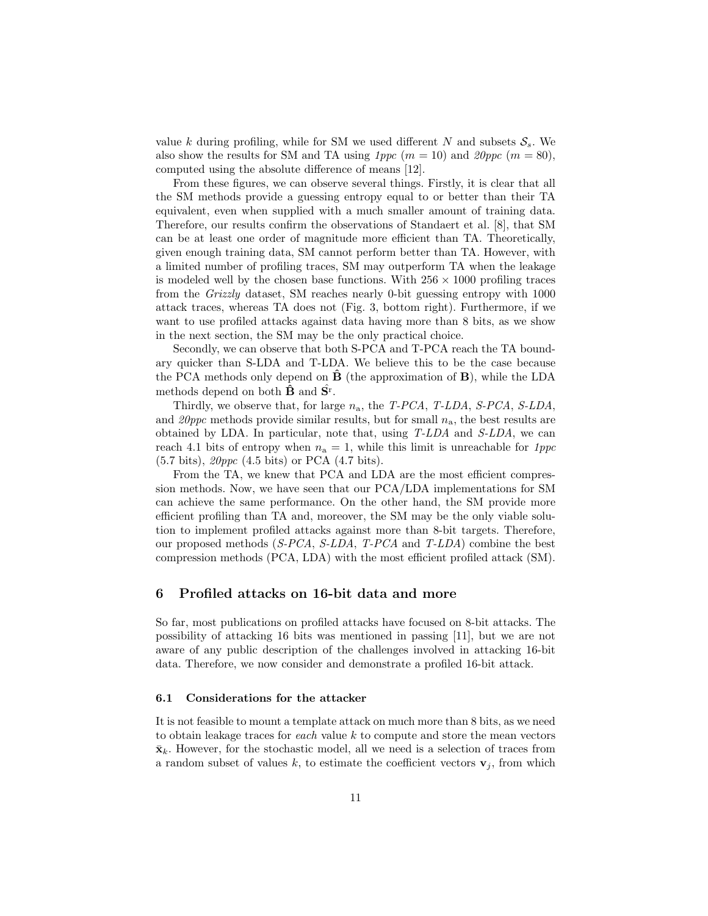value k during profiling, while for SM we used different N and subsets  $S_s$ . We also show the results for SM and TA using  $1ppc$  $1ppc$   $(m = 10)$  and  $20ppc$   $(m = 80)$ , computed using the absolute difference of means [12].

From these figures, we can observe several things. Firstly, it is clear that all the SM methods provide a guessing entropy equal to or better than their TA equivalent, even when supplied with a much smaller amount of training data. Therefore, our results confirm the observations of Standaert et al. [8], that SM can be at least one [ord](#page-11-0)er of magnitude more efficient than TA. Theoretically, given enough training data, SM cannot perform better than TA. However, with a limited number of profiling traces, SM may outperform TA when the leakage is modeled well by the chosen base functions. With  $256 \times 1000$  profiling traces from the Grizzly dataset, SM reaches nearly 0-bit guessing entropy with 1000 attack traces, whereas TA does not (Fig. 3, bottom right). Furthermore, if we want to use profiled attacks against data having more than 8 bits, as we show in the next section, the SM may be the only practical choice.

Secondly, we can observe that both S-PCA and T-PCA reach the TA boundary quicker than S-LDA and T-LDA. We believe this to be the case because the PCA methods only depend on  $\hat{\mathbf{B}}$  (the approximation of  $\mathbf{B}$ ), while the LDA methods depend on both  $\hat{\mathbf{B}}$  and  $\hat{\mathbf{S}^r}$ .

Thirdly, we observe that, for large  $n_a$ , the T-PCA, T-LDA, S-PCA, S-LDA, and 20ppc methods provide similar results, but for small  $n_a$ , the best results are obtained by LDA. In particular, note that, using T-LDA and S-LDA, we can reach 4.1 bits of entropy when  $n_a = 1$ , while this limit is unreachable for 1ppc (5.7 bits), 20ppc (4.5 bits) or PCA (4.7 bits).

<span id="page-10-0"></span>From the TA, we knew that PCA and LDA are the most efficient compression methods. Now, we have seen that our PCA/LDA implementations for SM can achieve the same performance. On the other hand, the SM provide more efficient profiling than TA and, moreover, the SM may be the only viable solution to implement profiled attacks against more than 8-bit targets. Therefore, our proposed methods  $(S\text{-}PCA, S\text{-}LDA, T\text{-}PCA$  and  $T\text{-}LDA$  combine the best compression methods (PCA, LDA) wi[th t](#page-17-9)he most efficient profiled attack (SM).

### 6 Profiled attacks on 16-bit data and more

So far, most publications on profiled attacks have focused on 8-bit attacks. The possibility of attacking 16 bits was mentioned in passing [11], but we are not aware of any public description of the challenges involved in attacking 16-bit data. Therefore, we now consider and demonstrate a profiled 16-bit attack.

#### 6.1 Considerations for the attacker

It is not feasible to mount a template attack on much more than 8 bits, as we need to obtain leakage traces for each value k to compute and store the mean vectors  $\bar{\mathbf{x}}_k$ . However, for the stochastic model, all we need is a selection of traces from a random subset of values k, to estimate the coefficient vectors  $v_j$ , from which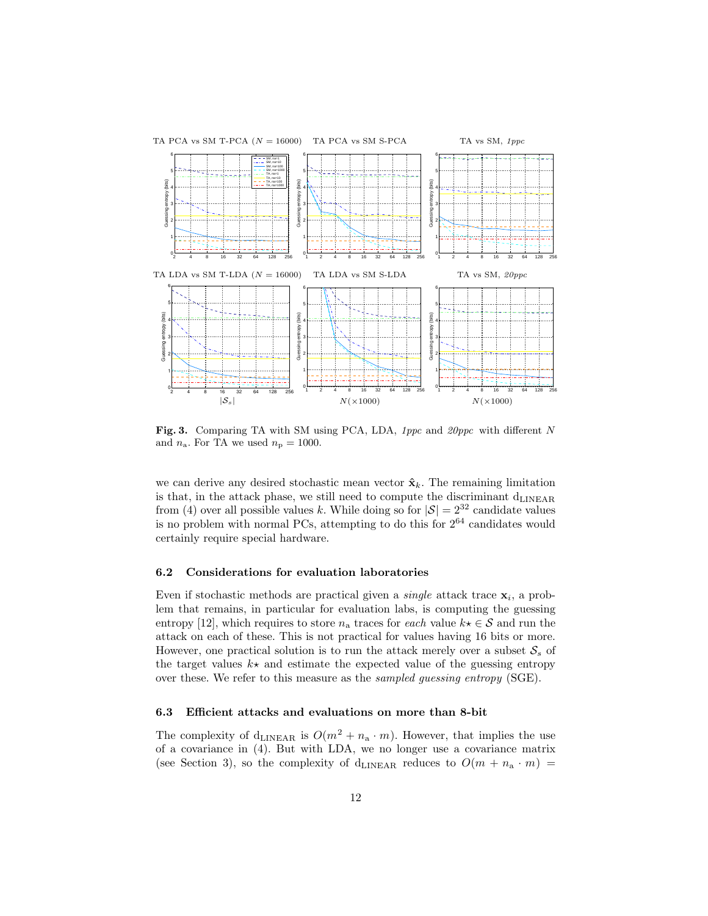

<span id="page-11-0"></span>Fig. 3. Comparing TA with SM using PCA, LDA, 1ppc and 20ppc with different N and  $n_a$ . For TA we used  $n_p = 1000$ .

we can derive any desired stochastic mean vector  $\hat{\mathbf{x}}_k$ . The remaining limitation is that, in the attack phase, we still need to compute the discriminant  $d_{LINEAR}$ from (4) over all possible values k. While doing so for  $|\mathcal{S}| = 2^{32}$  candidate values is no problem with normal PCs, attempting to do this for  $2^{64}$  candidates would certainly require special hardware.

#### 6.2 Considerations for evaluation laboratories

Even if stochastic methods are practical given a *single* attack trace  $\mathbf{x}_i$ , a problem that remains, in particular for evaluation labs, is computing the guessing entropy [12], which requires to store  $n_a$  traces for each value  $k \star \in \mathcal{S}$  and run the attack on each of these. This is not practical for values having 16 bits or more. However, one practical solution is to run the attack merely over a subset  $S_s$  of the target values  $k\star$  and estimate the expected value of the guessing entropy [o](#page-2-3)ver these. We refer to this measure as the sampled guessing entropy (SGE).

# 6.3 Efficient attacks and evaluations on more than 8-bit

The complexity of d<sub>LINEAR</sub> is  $O(m^2 + n_a \cdot m)$ . However, that implies the use of a covariance in (4). But with LDA, we no longer use a covariance matrix (see Section 3), so the complexity of  $d_{LINEAR}$  reduces to  $O(m + n_a \cdot m)$  =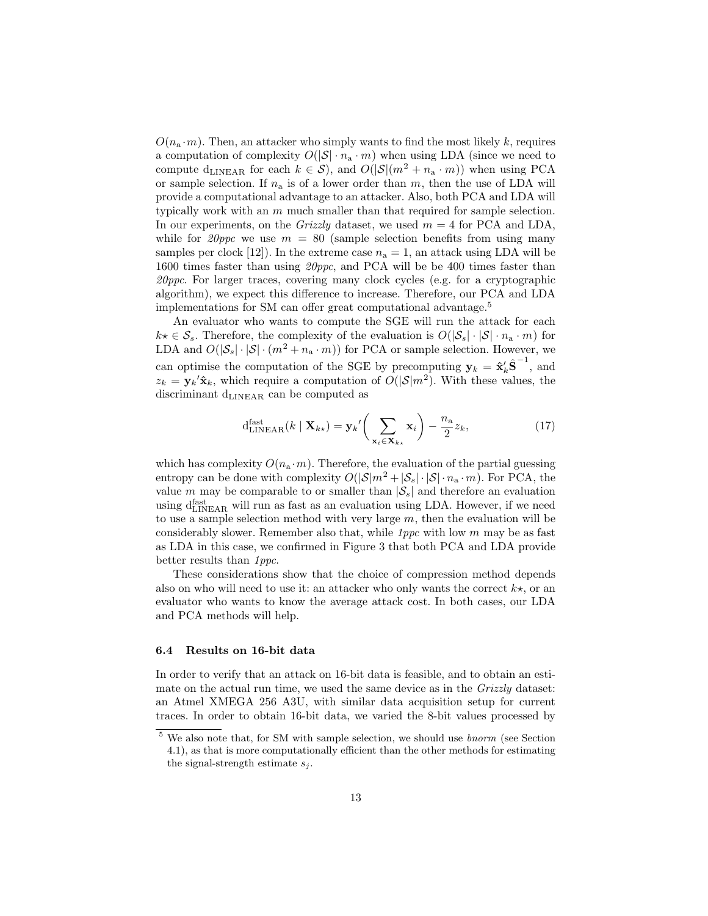$O(n_{\rm a} \cdot m)$ . Then, an attacker who simply wants to find the most likely k, requires a computation of complexity  $O(|\mathcal{S}| \cdot n_a \cdot m)$  when using LDA (since we need to compute d<sub>LINEAR</sub> for each  $k \in S$ ), and  $O(|S|(m^2 + n_a \cdot m))$  when using PCA [o](#page-17-1)r sample selection. If  $n_a$  is of a lower order than  $m$ , then the use of LDA will provide a computational advantage to an attacker. Also, both PCA and LDA will typically work with an  $m$  much smaller than that required for sample selection. In our experiments, on the *Grizzly* dataset, we used  $m = 4$  for PCA and LDA, while for 20ppc we use  $m = 80$  (sample s[el](#page-12-0)ection benefits from using many samples per clock [12]). In the extreme case  $n_a = 1$ , an attack using LDA will be 1600 times faster than using 20ppc, and PCA will be be 400 times faster than 20ppc. For larger traces, covering many clock cycles (e.g. for a cryptographic algorithm), we expect this difference to increase. Therefore, our PCA and LDA implementations for SM can offer great computational advantage.<sup>5</sup>

An evaluator who wants to compute the SGE will run the attack for each  $k \star \in \mathcal{S}_s$ . Therefore, the complexity of the evaluation is  $O(|\mathcal{S}_s| \cdot |\mathcal{S}| \cdot n_a \cdot m)$  for LDA and  $O(|S_s| \cdot |\mathcal{S}| \cdot (m^2 + n_a \cdot m))$  for PCA or sample selection. However, we can optimise the computation of the SGE by precomputing  $y_k = \hat{x}_k' \hat{S}^{-1}$ , and  $z_k = y_k' \hat{\mathbf{x}}_k$ , which require a computation of  $O(|\mathcal{S}|m^2)$ . With these values, the discriminant dLINEAR can be computed as

$$
d_{\text{LINEAR}}^{\text{fast}}(k \mid \mathbf{X}_{k\star}) = \mathbf{y}_k' \left(\sum_{\mathbf{x}_i \in \mathbf{X}_{k\star}} \mathbf{x}_i\right) - \frac{n_a}{2} z_k,\tag{17}
$$

which has complexity  $O(n_a \cdot m)$ . Therefore, the evaluation of the partial guessing entropy can be done w[ith](#page-11-0) complexity  $O(|\mathcal{S}|m^2 + |\mathcal{S}_s| \cdot |\mathcal{S}| \cdot n_a \cdot m)$ . For PCA, the value m may be comparable to or smaller than  $|S_s|$  and therefore an evaluation using dfast LINEAR will run as fast as an evaluation using LDA. However, if we need to use a sample selection method with very large  $m$ , then the evaluation will be considerably slower. Remember also that, while  $1ppc$  with low m may be as fast as LDA in this case, we confirmed in Figure 3 that both PCA and LDA provide better results than 1ppc.

These considerations show that the choice of compression method depends also on who will need to use it: an attacker who only wants the correct  $k\star$ , or an evaluator who wants to know the average attack cost. In both cases, our LDA and PCA methods will help.

#### <span id="page-12-0"></span>6.4 Results on 16-bit data

In order to verify that an attack on 16-bit data is feasible, and to obtain an estimate on the actual run time, we used the same device as in the *Grizzly* dataset: an Atmel XMEGA 256 A3U, with similar data acquisition setup for current traces. In order to obtain 16-bit data, we varied the 8-bit values processed by

 $^5$  We also note that, for SM with sample selection, we should use  $\emph{bnorm}$  (see Section 4.1), as that is more computationally efficient than the other methods for estimating the signal-strength estimate  $s_j$ .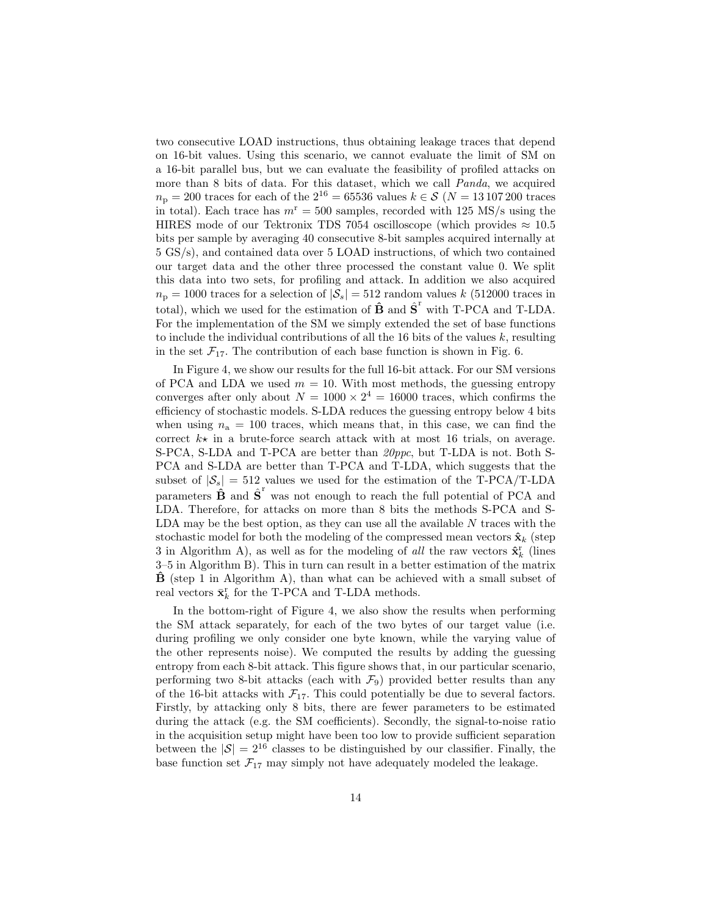two consecutive LOAD instructions, thus obtaining leakage traces that depend on 16-bit values. Using this scenario, we cannot evaluate the limit of SM on a 16-bit parallel bus, but we can evaluate the feasibility of profiled attacks on more than 8 bits of data. For this dataset, which we call Panda, we acquired  $n_{\rm p} = 200$  traces for each of the  $2^{16} = 65536$  values  $k \in S$  ( $N = 13107200$  traces in total). Each trace has  $m^r = 500$  samples, recorded with 125 MS/s using the HIRES mode of our Tektronix TDS 7054 oscilloscope (which provides  $\approx 10.5$ ) bits per sample by averaging 40 consecutive 8-bit samples acquired internally at 5 GS/s), and contained data over 5 LOAD instructions, of which two contained our target data and the other three processed the constant value 0. We split this data into two sets, for profiling and attack. [In](#page-16-0) addition we also acquired  $n_{\rm p} = 1000$  traces for a selection of  $|\mathcal{S}_s| = 512$  random values k (512000 traces in total), which we used for the estimation of  $\hat{\mathbf{B}}$  and  $\hat{\mathbf{S}}^{\text{r}}$  with T-PCA and T-LDA. For the implementation of the SM we simply extended the set of base functions to include the individual contributions of all the  $16$  bits of the values  $k$ , resulting in the set  $\mathcal{F}_{17}$ . The contribution of each base function is shown in Fig. 6.

In Figure 4, we show our results for the full 16-bit attack. For our SM versions of PCA and LDA we used  $m = 10$ . With most methods, the guessing entropy converges after only about  $N = 1000 \times 2^4 = 16000$  traces, which confirms the efficiency of stochastic models. S-LDA reduces the guessing entropy below 4 bits when using  $n_a = 100$  traces, which means that, in this case, we can find the correct  $k\star$  in a brute-force search attack with at most 16 trials, on average. S-PCA, S-LDA and T-PCA are better than 20ppc, but T-LDA is not. Both S-PCA and S-LDA are better than T-PCA and T-LDA, which suggests that the subset of  $|S_s| = 512$  values we used for the estimation of the T-PCA/T-LDA parameters  $\hat{\mathbf{B}}$  and  $\hat{\mathbf{S}}^{\text{r}}$  was not enough to reach the full potential of PCA and LDA. Therefore, for attacks on more than 8 bits the methods S-PCA and S-LDA may be the best option, as they can use all the available  $N$  traces with the stochastic m[od](#page-14-0)el for both the modeling of the compressed mean vectors  $\hat{\mathbf{x}}_k$  (step 3 in Algorithm A), as well as for the modeling of all the raw vectors  $\hat{\mathbf{x}}_k^{\mathrm{r}}$  (lines 3–5 in Algorithm B). This in turn can result in a better estimation of the matrix  $\hat{\mathbf{B}}$  (step 1 in Algorithm A), than what can be achieved with a small subset of real vectors  $\bar{\mathbf{x}}_k^{\mathrm{r}}$  for the T-PCA and T-LDA methods.

In the bottom-right of Figure 4, we also show the results when performing the SM attack separately, for each of the two bytes of our target value (i.e. during profiling we only consider one byte known, while the varying value of the other represents noise). We computed the results by adding the guessing entropy from each 8-bit attack. This figure shows that, in our particular scenario, performing two 8-bit attacks (each with  $\mathcal{F}_9$ ) provided better results than any of the 16-bit attacks with  $\mathcal{F}_{17}$ . This could potentially be due to several factors. Firstly, by attacking only 8 bits, there are fewer parameters to be estimated during the attack (e.g. the SM coefficients). Secondly, the signal-to-noise ratio in the acquisition setup might have been too low to provide sufficient separation between the  $|\mathcal{S}| = 2^{16}$  classes to be distinguished by our classifier. Finally, the base function set  $\mathcal{F}_{17}$  may simply not have adequately modeled the leakage.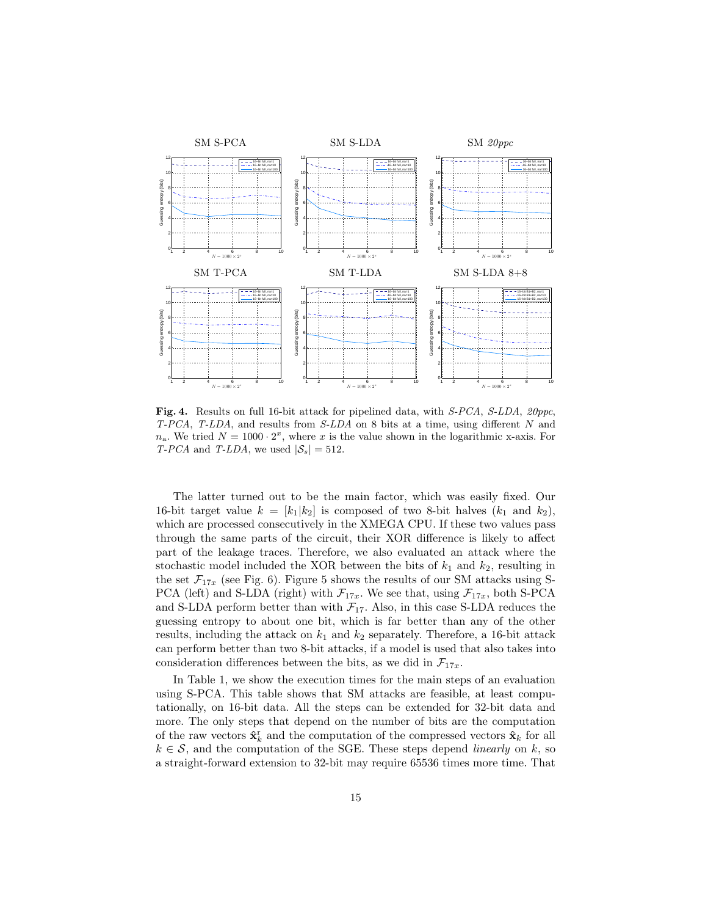

<span id="page-14-0"></span>Fig. 4. Results on full 16-bit attack for pipelined data, with S-PCA, S-LDA, 20ppc, T-PCA, T-LDA, and results from S-LDA on 8 bits at a time, using different N and  $n_a$ . We tried  $N = 1000 \cdot 2^x$ , where x is the value shown in the logarithmic x-axis. For  $T\text{-}PCA$  and  $T\text{-}LDA$ , we used  $|\mathcal{S}_s|=512$ .

The latter turned out to be the main factor, which was easily fixed. Our [16-](#page-16-0)bit targ[et](#page-15-0) value  $k = [k_1|k_2]$  is composed of two 8-bit halves  $(k_1 \text{ and } k_2)$ , which are processed consecutively in the XMEGA CPU. If these two values pass through the same parts of the circuit, their XOR difference is likely to affect part of the leakage traces. Therefore, we also evaluated an attack where the stochastic model included the XOR between the bits of  $k_1$  and  $k_2$ , resulting in the set  $\mathcal{F}_{17x}$  (see Fig. 6). Figure 5 shows the results of our SM attacks using S-PCA (left) and S-LDA (right) with  $\mathcal{F}_{17x}$ . We see that, using  $\mathcal{F}_{17x}$ , both S-PCA and S-LDA perform better than with  $\mathcal{F}_{17}$ . Also, in this case S-LDA reduces the guessing entropy to about one bit, which is far better than any of the other results, including the attack on  $k_1$  and  $k_2$  separately. Therefore, a 16-bit attack can perform better than two 8-bit attacks, if a model is used that also takes into consideration differences between the bits, as we did in  $\mathcal{F}_{17x}$ .

In Table 1, we show the execution times for the main steps of an evaluation using S-PCA. This table shows that SM attacks are feasible, at least computationally, on 16-bit data. All the steps can be extended for 32-bit data and more. The only steps that depend on the number of bits are the computation of the raw vectors  $\hat{\mathbf{x}}_k^{\mathrm{r}}$  and the computation of the compressed vectors  $\hat{\mathbf{x}}_k$  for all  $k \in \mathcal{S}$ , and the computation of the SGE. These steps depend linearly on k, so a straight-forward extension to 32-bit may require 65536 times more time. That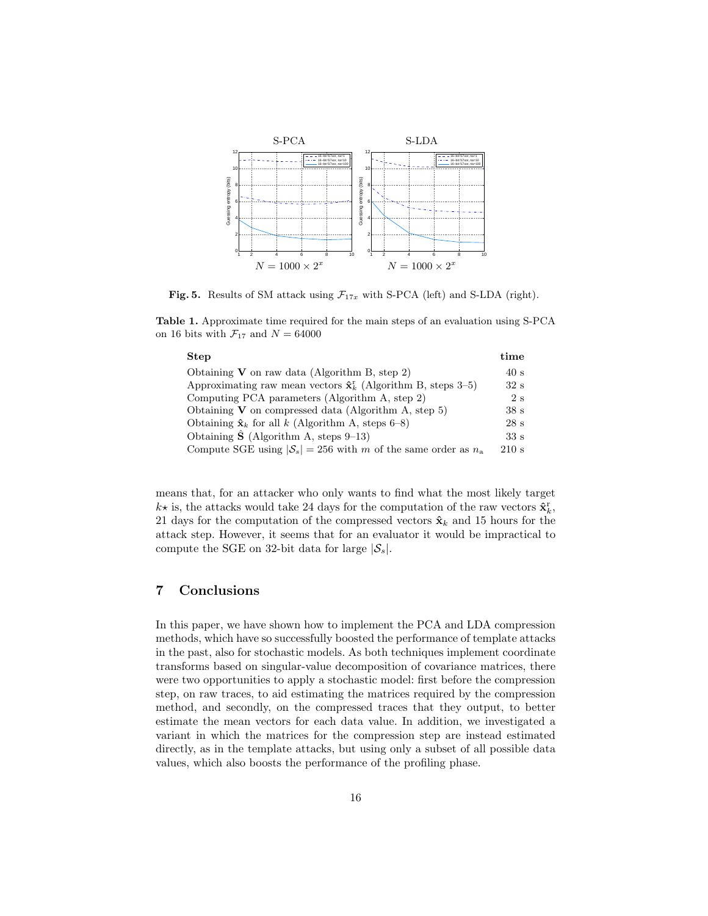

<span id="page-15-0"></span>Fig. 5. Results of SM att[ack](#page-7-0) using  $\mathcal{F}_{17x}$  with S-PCA (left) and S-LDA (right).

Table 1. Approximate time req[uir](#page-7-0)ed for the main steps of an evaluation using S-PCA on 16 bits with  $\mathcal{F}_{17}$  and  $N = 64000$ 

| <b>Step</b>                                                                             | time  |
|-----------------------------------------------------------------------------------------|-------|
| Obtaining $V$ on raw data (Algorithm B, step 2)                                         | 40 s  |
| Approximating raw mean vectors $\hat{\mathbf{x}}_k^{\text{r}}$ (Algorithm B, steps 3–5) | 32 s  |
| Computing PCA parameters (Algorithm A, step 2)                                          | 2s    |
| Obtaining $V$ on compressed data (Algorithm A, step 5)                                  | 38s   |
| Obtaining $\hat{\mathbf{x}}_k$ for all k (Algorithm A, steps 6–8)                       | 28s   |
| Obtaining $S$ (Algorithm A, steps 9–13)                                                 | 33 s  |
| Compute SGE using $ S_s  = 256$ with m of the same order as $n_a$                       | 210 s |

means that, for an attacker who only wants to find what the most likely target  $k\star$  is, the attacks would take 24 days for the computation of the raw vectors  $\hat{\mathbf{x}}_k^{\text{r}}$ , 21 days for the computation of the compressed vectors  $\hat{\mathbf{x}}_k$  and 15 hours for the attack step. However, it seems that for an evaluator it would be impractical to compute the SGE on 32-bit data for large  $|\mathcal{S}_s|$ .

# 7 Conclusions

In this paper, we have shown how to implement the PCA and LDA compression methods, which have so successfully boosted the performance of template attacks in the past, also for stochastic models. As both techniques implement coordinate transforms based on singular-value decomposition of covariance matrices, there were two opportunities to apply a stochastic model: first before the compression step, on raw traces, to aid estimating the matrices required by the compression method, and secondly, on the compressed traces that they output, to better estimate the mean vectors for each data value. In addition, we investigated a variant in which the matrices for the compression step are instead estimated directly, as in the template attacks, but using only a subset of all possible data values, which also boosts the performance of the profiling phase.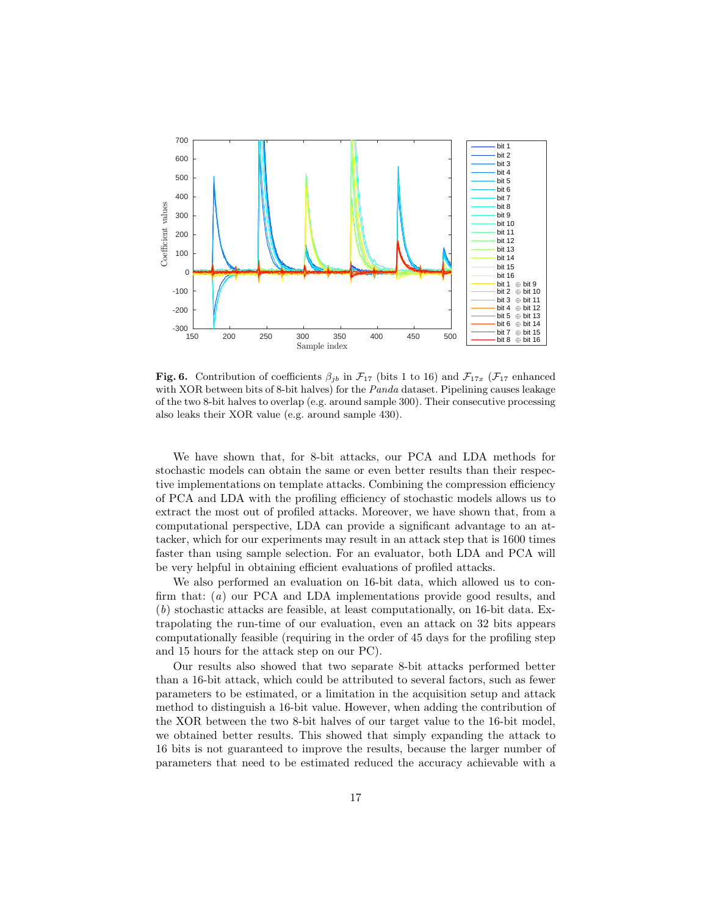

<span id="page-16-0"></span>**Fig. 6.** Contribution of coefficients  $\beta_{ib}$  in  $\mathcal{F}_{17}$  (bits 1 to 16) and  $\mathcal{F}_{17x}$  ( $\mathcal{F}_{17}$  enhanced with XOR between bits of 8-bit halves) for the *Panda* dataset. Pipelining causes leakage of the two 8-bit halves to overlap (e.g. around sample 300). Their consecutive processing also leaks their XOR value (e.g. around sample 430).

We have shown that, for 8-bit attacks, our PCA and LDA methods for stochastic models can obtain the same or even better results than their respective implementations on template attacks. Combining the compression efficiency of PCA and LDA with the profiling efficiency of stochastic models allows us to extract the most out of profiled attacks. Moreover, we have shown that, from a computational perspective, LDA can provide a significant advantage to an attacker, which for our experiments may result in an attack step that is 1600 times faster than using sample selection. For an evaluator, both LDA and PCA will be very helpful in obtaining efficient evaluations of profiled attacks.

We also performed an evaluation on 16-bit data, which allowed us to confirm that: (a) our PCA and LDA implementations provide good results, and  $(b)$  stochastic attacks are feasible, at least computationally, on 16-bit data. Extrapolating the run-time of our evaluation, even an attack on 32 bits appears computationally feasible (requiring in the order of 45 days for the profiling step and 15 hours for the attack step on our PC).

Our results also showed that two separate 8-bit attacks performed better than a 16-bit attack, which could be attributed to several factors, such as fewer parameters to be estimated, or a limitation in the acquisition setup and attack method to distinguish a 16-bit value. However, when adding the contribution of the XOR between the two 8-bit halves of our target value to the 16-bit model, we obtained better results. This showed that simply expanding the attack to 16 bits is not guaranteed to improve the results, because the larger number of parameters that need to be estimated reduced the accuracy achievable with a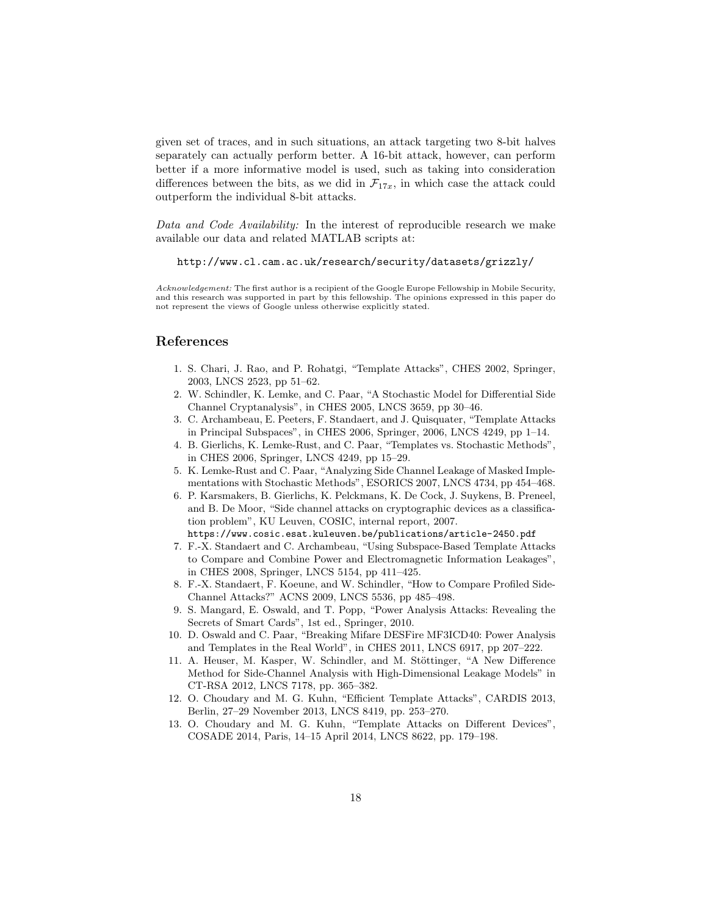given set of traces, and in such situations, an attack targeting two 8-bit halves separately can actually perform better. A 16-bit attack, however, can perform better if a more informative model is used, such as taking into consideration [differences between the bits, as we did in](http://www.cl.cam.ac.uk/research/security/datasets/grizzly/)  $\mathcal{F}_{17x}$ , in which case the attack could outperform the individual 8-bit attacks.

Data and Code Availability: In the interest of reproducible research we make available our data and related MATLAB scripts at:

```
http://www.cl.cam.ac.uk/research/security/datasets/grizzly/
```
<span id="page-17-5"></span>Acknowledgement: The first author is a recipient of the Google Europe Fellowship in Mobile Security, and this research was [supported in part by th](http://citeseerx.ist.psu.edu/viewdoc/download?doi=10.1.1.132.5172&rep=rep1&type=pdf#page=29)is fellowship. The opinions expressed in this paper do not represent the views of Google unless otherwise explicitly stated.

# <span id="page-17-6"></span><span id="page-17-3"></span><span id="page-17-0"></span>[Refere](http://link.springer.com/chapter/10.1007/11545262_3)nces

- [1.](http://perso.uclouvain.be/fstandae/PUBLIS/38.pdf) S. Chari, J. Rao, [and P. Rohatgi, "Template Attacks",](https://www.hgi.rub.de/media/crypto/veroeffentlichungen/2011/01/29/ches2006v15.pdf) CHES 2002, Springer, 2003, LNCS 2523, pp 51–62.
- 2. W. S[chindler, K. Lemke, and C. Paar, "A Stochastic Mod](http://link.springer.com/chapter/10.1007/978-3-540-74835-9_30)el for Differential Side [Channel Crypt](http://link.springer.com/chapter/10.1007/978-3-540-74835-9_30)analysis", in CHES 2005, LNCS 3659, pp 30–46.
- 3. C. Archambeau, E. Peeters, F. Standaert, and J. Quisquater, "Template Attacks [in Principal Subspaces", in CHES 2006, Springer, 2006, L](ftp://ftp.esat.kuleuven.ac.be/pub/pub/stadius/decock/reports/07-36.pdf)NCS 4249, pp 1–14.
- 4. B. Gierlichs, K. Lemke-Rust, and C. Paar, "Templates vs. Stochastic Methods", [in CHES 2006, Springer, LNCS 4249, pp 15–29.](https://www.cosic.esat.kuleuven.be/publications/article-2450.pdf)
- <span id="page-17-7"></span>5. K. Lemke-Rus[t and C. Paar, "Analyzing Side Channel Lea](http://www.iacr.org/archive/ches2008/51540408/51540408.pdf)kage of Masked Imple[mentations with Stochastic Methods", ESORICS 2007, L](http://www.iacr.org/archive/ches2008/51540408/51540408.pdf)NCS 4734, pp 454–468.
- <span id="page-17-4"></span>6. P. Karsmakers, B. Gierlichs, K. Pelckmans, K. De Cock, J. Suykens, B. Preneel, and B. De Moor, "Side [channel attacks on cryptographic](http://link.springer.com/chapter/10.1007/978-3-642-01957-9_30) devices as a classification problem", KU Leuven, COSIC, internal report, 2007.

https://www.c[osic.esat.kuleuven.be/publications/a](http://www.springer.com/computer/security+and+cryptology/book/978-0-387-30857-9)rticle-2450.pdf

- <span id="page-17-2"></span>[7.](http://www.springer.com/computer/security+and+cryptology/book/978-0-387-30857-9) F.-X. Standaert and C. Archambeau, "Using Subspace-Based Template Attacks t[o Compare and Combine Power and Electromagnetic In](http://link.springer.com/chapter/10.1007/978-3-642-23951-9_14)formation Leakages", [in CHES 200](http://link.springer.com/chapter/10.1007/978-3-642-23951-9_14)8, Springer, LNCS 5154, pp 411–425.
- <span id="page-17-9"></span>8. F.-X. Standaert, F. Koeune, and W. [Schindler, "How to C](http://link.springer.com/chapter/10.1007/978-3-642-27954-6_23)ompare Profiled Side-[Channel Attacks?" ACNS 2009, LNCS 5536, pp 485–4](http://link.springer.com/chapter/10.1007/978-3-642-27954-6_23)98.
- 9. S. Mangard, E. Oswald, and T. Popp, "Power Analysis Attacks: Revealing the Secrets of [Smart Cards", 1st ed., Spring](http://www.cl.cam.ac.uk/research/security/datasets/grizzly/efficient_templates.pdf)er, 2010.
- <span id="page-17-1"></span>10. D. Oswald and C. Paar, "Breaking Mifare DESFire MF3ICD40: Power Analysis and Templa[tes in the Real World", in CHES 2011, LNC](http://eprint.iacr.org/2014/459.pdf)S 6917, pp 207–222.
- <span id="page-17-8"></span>11. A. Heuser, M. Kasper, W. Schindler, and M. Stöttinger, "A New Difference Method for Side-Channel Analysis with High-Dimensional Leakage Models" in CT-RSA 2012, LNCS 7178, pp. 365–382.
- 12. O. Choudary and M. G. Kuhn, "Efficient Template Attacks", CARDIS 2013, Berlin, 27–29 November 2013, LNCS 8419, pp. 253–270.
- 13. O. Choudary and M. G. Kuhn, "Template Attacks on Different Devices", COSADE 2014, Paris, 14–15 April 2014, LNCS 8622, pp. 179–198.